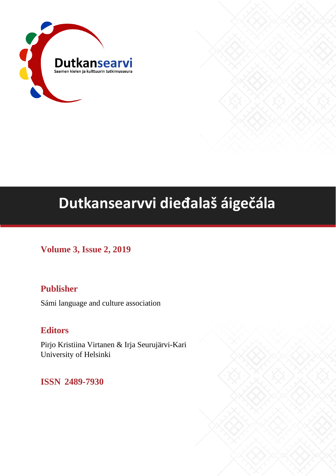

# **Dutkansearvvi dieđalaš áigečála**

**Volume 3, Issue 2, 2019**

# **Publisher**

Sámi language and culture association

# **Editors**

Pirjo Kristiina Virtanen & Irja Seurujärvi-Kari University of Helsinki

**ISSN 2489-7930**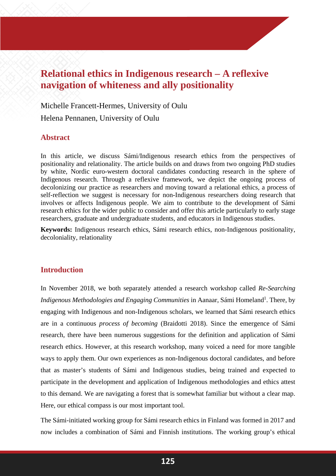# **Relational ethics in Indigenous research – A reflexive navigation of whiteness and ally positionality**

Michelle Francett-Hermes, University of Oulu Helena Pennanen, University of Oulu

#### **Abstract**

In this article, we discuss Sámi/Indigenous research ethics from the perspectives of positionality and relationality. The article builds on and draws from two ongoing PhD studies by white, Nordic euro-western doctoral candidates conducting research in the sphere of Indigenous research. Through a reflexive framework, we depict the ongoing process of decolonizing our practice as researchers and moving toward a relational ethics, a process of self-reflection we suggest is necessary for non-Indigenous researchers doing research that involves or affects Indigenous people. We aim to contribute to the development of Sámi research ethics for the wider public to consider and offer this article particularly to early stage researchers, graduate and undergraduate students, and educators in Indigenous studies.

**Keywords:** Indigenous research ethics, Sámi research ethics, non-Indigenous positionality, decoloniality, relationality

# **Introduction**

In November 2018, we both separately attended a research workshop called *Re-Searching*  Indigenous Methodologies and Engaging Communities in Aanaar, Sámi Homeland<sup>1</sup>. There, by engaging with Indigenous and non-Indigenous scholars, we learned that Sámi research ethics are in a continuous *process of becoming* (Braidotti 2018). Since the emergence of Sámi research, there have been numerous suggestions for the definition and application of Sámi research ethics. However, at this research workshop, many voiced a need for more tangible ways to apply them. Our own experiences as non-Indigenous doctoral candidates, and before that as master's students of Sámi and Indigenous studies, being trained and expected to participate in the development and application of Indigenous methodologies and ethics attest to this demand. We are navigating a forest that is somewhat familiar but without a clear map. Here, our ethical compass is our most important tool.

The Sámi-initiated working group for Sámi research ethics in Finland was formed in 2017 and now includes a combination of Sámi and Finnish institutions. The working group's ethical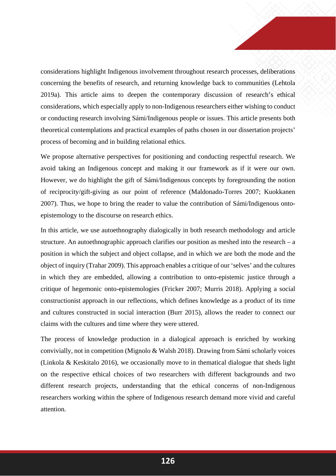considerations highlight Indigenous involvement throughout research processes, deliberations concerning the benefits of research, and returning knowledge back to communities (Lehtola 2019a). This article aims to deepen the contemporary discussion of research's ethical considerations, which especially apply to non-Indigenous researchers either wishing to conduct or conducting research involving Sámi/Indigenous people or issues. This article presents both theoretical contemplations and practical examples of paths chosen in our dissertation projects' process of becoming and in building relational ethics.

We propose alternative perspectives for positioning and conducting respectful research. We avoid taking an Indigenous concept and making it our framework as if it were our own. However, we do highlight the gift of Sámi/Indigenous concepts by foregrounding the notion of reciprocity/gift-giving as our point of reference (Maldonado-Torres 2007; Kuokkanen 2007). Thus, we hope to bring the reader to value the contribution of Sámi/Indigenous ontoepistemology to the discourse on research ethics.

In this article, we use autoethnography dialogically in both research methodology and article structure. An autoethnographic approach clarifies our position as meshed into the research – a position in which the subject and object collapse, and in which we are both the mode and the object of inquiry (Trahar 2009). This approach enables a critique of our 'selves' and the cultures in which they are embedded, allowing a contribution to onto-epistemic justice through a critique of hegemonic onto-epistemologies (Fricker 2007; Murris 2018). Applying a social constructionist approach in our reflections, which defines knowledge as a product of its time and cultures constructed in social interaction (Burr 2015), allows the reader to connect our claims with the cultures and time where they were uttered.

The process of knowledge production in a dialogical approach is enriched by working convivially, not in competition (Mignolo & Walsh 2018). Drawing from Sámi scholarly voices (Linkola & Keskitalo 2016), we occasionally move to in thematical dialogue that sheds light on the respective ethical choices of two researchers with different backgrounds and two different research projects, understanding that the ethical concerns of non-Indigenous researchers working within the sphere of Indigenous research demand more vivid and careful attention.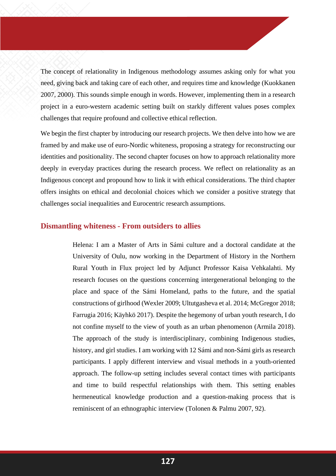The concept of relationality in Indigenous methodology assumes asking only for what you need, giving back and taking care of each other, and requires time and knowledge (Kuokkanen 2007, 2000). This sounds simple enough in words. However, implementing them in a research project in a euro-western academic setting built on starkly different values poses complex challenges that require profound and collective ethical reflection.

We begin the first chapter by introducing our research projects. We then delve into how we are framed by and make use of euro-Nordic whiteness, proposing a strategy for reconstructing our identities and positionality. The second chapter focuses on how to approach relationality more deeply in everyday practices during the research process. We reflect on relationality as an Indigenous concept and propound how to link it with ethical considerations. The third chapter offers insights on ethical and decolonial choices which we consider a positive strategy that challenges social inequalities and Eurocentric research assumptions.

#### **Dismantling whiteness - From outsiders to allies**

Helena: I am a Master of Arts in Sámi culture and a doctoral candidate at the University of Oulu, now working in the Department of History in the Northern Rural Youth in Flux project led by Adjunct Professor Kaisa Vehkalahti. My research focuses on the questions concerning intergenerational belonging to the place and space of the Sámi Homeland, paths to the future, and the spatial constructions of girlhood (Wexler 2009; Ultutgasheva et al. 2014; McGregor 2018; Farrugia 2016; Käyhkö 2017). Despite the hegemony of urban youth research, I do not confine myself to the view of youth as an urban phenomenon (Armila 2018). The approach of the study is interdisciplinary, combining Indigenous studies, history, and girl studies. I am working with 12 Sámi and non-Sámi girls as research participants. I apply different interview and visual methods in a youth-oriented approach. The follow-up setting includes several contact times with participants and time to build respectful relationships with them. This setting enables hermeneutical knowledge production and a question-making process that is reminiscent of an ethnographic interview (Tolonen & Palmu 2007, 92).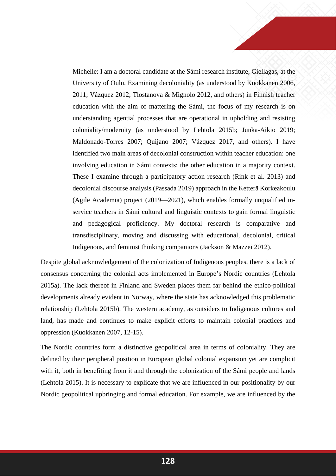Michelle: I am a doctoral candidate at the Sámi research institute, Giellagas, at the University of Oulu. Examining decoloniality (as understood by Kuokkanen 2006, 2011; Vázquez 2012; Tlostanova & Mignolo 2012, and others) in Finnish teacher education with the aim of mattering the Sámi, the focus of my research is on understanding agential processes that are operational in upholding and resisting coloniality/modernity (as understood by Lehtola 2015b; Junka-Aikio 2019; Maldonado-Torres 2007; Quijano 2007; Vázquez 2017, and others). I have identified two main areas of decolonial construction within teacher education: one involving education in Sámi contexts; the other education in a majority context. These I examine through a participatory action research (Rink et al. 2013) and decolonial discourse analysis (Passada 2019) approach in the Ketterä Korkeakoulu (Agile Academia) project (2019—2021), which enables formally unqualified inservice teachers in Sámi cultural and linguistic contexts to gain formal linguistic and pedagogical proficiency. My doctoral research is comparative and transdisciplinary, moving and discussing with educational, decolonial, critical Indigenous, and feminist thinking companions (Jackson & Mazzei 2012).

Despite global acknowledgement of the colonization of Indigenous peoples, there is a lack of consensus concerning the colonial acts implemented in Europe's Nordic countries (Lehtola 2015a). The lack thereof in Finland and Sweden places them far behind the ethico-political developments already evident in Norway, where the state has acknowledged this problematic relationship (Lehtola 2015b). The western academy, as outsiders to Indigenous cultures and land, has made and continues to make explicit efforts to maintain colonial practices and oppression (Kuokkanen 2007, 12-15).

The Nordic countries form a distinctive geopolitical area in terms of coloniality. They are defined by their peripheral position in European global colonial expansion yet are complicit with it, both in benefiting from it and through the colonization of the Sámi people and lands (Lehtola 2015). It is necessary to explicate that we are influenced in our positionality by our Nordic geopolitical upbringing and formal education. For example, we are influenced by the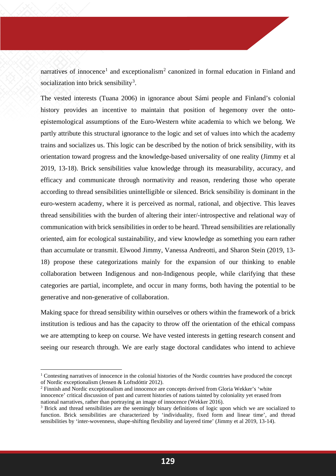narratives of innocence<sup>[1](#page-5-0)</sup> and exceptionalism<sup>[2](#page-5-1)</sup> canonized in formal education in Finland and socialization into brick sensibility<sup>[3](#page-5-2)</sup>.

The vested interests (Tuana 2006) in ignorance about Sámi people and Finland's colonial history provides an incentive to maintain that position of hegemony over the ontoepistemological assumptions of the Euro-Western white academia to which we belong. We partly attribute this structural ignorance to the logic and set of values into which the academy trains and socializes us. This logic can be described by the notion of brick sensibility, with its orientation toward progress and the knowledge-based universality of one reality (Jimmy et al 2019, 13-18). Brick sensibilities value knowledge through its measurability, accuracy, and efficacy and communicate through normativity and reason, rendering those who operate according to thread sensibilities unintelligible or silenced. Brick sensibility is dominant in the euro-western academy, where it is perceived as normal, rational, and objective. This leaves thread sensibilities with the burden of altering their inter/-introspective and relational way of communication with brick sensibilities in order to be heard. Thread sensibilities are relationally oriented, aim for ecological sustainability, and view knowledge as something you earn rather than accumulate or transmit. Elwood Jimmy, Vanessa Andreotti, and Sharon Stein (2019, 13- 18) propose these categorizations mainly for the expansion of our thinking to enable collaboration between Indigenous and non-Indigenous people, while clarifying that these categories are partial, incomplete, and occur in many forms, both having the potential to be generative and non-generative of collaboration.

Making space for thread sensibility within ourselves or others within the framework of a brick institution is tedious and has the capacity to throw off the orientation of the ethical compass we are attempting to keep on course. We have vested interests in getting research consent and seeing our research through. We are early stage doctoral candidates who intend to achieve

**.** 

<span id="page-5-0"></span> $1$  Contesting narratives of innocence in the colonial histories of the Nordic countries have produced the concept of Nordic exceptionalism (Jensen & Loftsdóttir 2012).

<span id="page-5-1"></span><sup>2</sup> Finnish and Nordic exceptionalism and innocence are concepts derived from Gloria Wekker's 'white innocence' critical discussion of past and current histories of nations tainted by coloniality yet erased from national narratives, rather than portraying an image of innocence (Wekker 2016).

<span id="page-5-2"></span><sup>&</sup>lt;sup>3</sup> Brick and thread sensibilities are the seemingly binary definitions of logic upon which we are socialized to function. Brick sensibilities are characterized by 'individuality, fixed form and linear time', and thread sensibilities by 'inter-wovenness, shape-shifting flexibility and layered time' (Jimmy et al 2019, 13-14).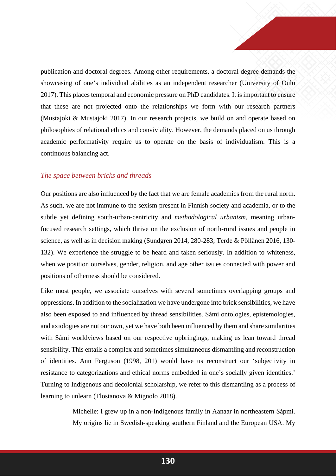publication and doctoral degrees. Among other requirements, a doctoral degree demands the showcasing of one's individual abilities as an independent researcher (University of Oulu 2017). This places temporal and economic pressure on PhD candidates. It is important to ensure that these are not projected onto the relationships we form with our research partners (Mustajoki & Mustajoki 2017). In our research projects, we build on and operate based on philosophies of relational ethics and conviviality. However, the demands placed on us through academic performativity require us to operate on the basis of individualism. This is a continuous balancing act.

#### *The space between bricks and threads*

Our positions are also influenced by the fact that we are female academics from the rural north. As such, we are not immune to the sexism present in Finnish society and academia, or to the subtle yet defining south-urban-centricity and *methodological urbanism,* meaning urbanfocused research settings, which thrive on the exclusion of north-rural issues and people in science, as well as in decision making (Sundgren 2014, 280-283; Terde & Pöllänen 2016, 130- 132). We experience the struggle to be heard and taken seriously. In addition to whiteness, when we position ourselves, gender, religion, and age other issues connected with power and positions of otherness should be considered.

Like most people, we associate ourselves with several sometimes overlapping groups and oppressions. In addition to the socialization we have undergone into brick sensibilities, we have also been exposed to and influenced by thread sensibilities. Sámi ontologies, epistemologies, and axiologies are not our own, yet we have both been influenced by them and share similarities with Sámi worldviews based on our respective upbringings, making us lean toward thread sensibility. This entails a complex and sometimes simultaneous dismantling and reconstruction of identities. Ann Ferguson (1998, 201) would have us reconstruct our 'subjectivity in resistance to categorizations and ethical norms embedded in one's socially given identities.' Turning to Indigenous and decolonial scholarship, we refer to this dismantling as a process of learning to unlearn (Tlostanova & Mignolo 2018).

> Michelle: I grew up in a non-Indigenous family in Aanaar in northeastern Sápmi. My origins lie in Swedish-speaking southern Finland and the European USA. My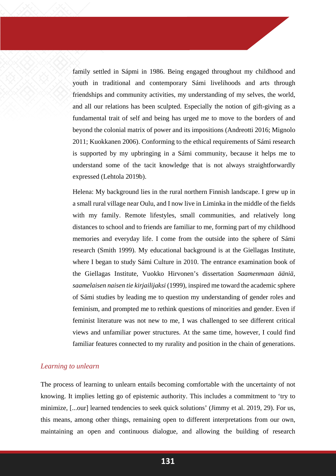family settled in Sápmi in 1986. Being engaged throughout my childhood and youth in traditional and contemporary Sámi livelihoods and arts through friendships and community activities, my understanding of my selves, the world, and all our relations has been sculpted. Especially the notion of gift-giving as a fundamental trait of self and being has urged me to move to the borders of and beyond the colonial matrix of power and its impositions (Andreotti 2016; Mignolo 2011; Kuokkanen 2006). Conforming to the ethical requirements of Sámi research is supported by my upbringing in a Sámi community, because it helps me to understand some of the tacit knowledge that is not always straightforwardly expressed (Lehtola 2019b).

Helena: My background lies in the rural northern Finnish landscape. I grew up in a small rural village near Oulu, and I now live in Liminka in the middle of the fields with my family. Remote lifestyles, small communities, and relatively long distances to school and to friends are familiar to me, forming part of my childhood memories and everyday life. I come from the outside into the sphere of Sámi research (Smith 1999). My educational background is at the Giellagas Institute, where I began to study Sámi Culture in 2010. The entrance examination book of the Giellagas Institute, Vuokko Hirvonen's dissertation *Saamenmaan ääniä, saamelaisen naisen tie kirjailijaksi* (1999), inspired me toward the academic sphere of Sámi studies by leading me to question my understanding of gender roles and feminism, and prompted me to rethink questions of minorities and gender. Even if feminist literature was not new to me, I was challenged to see different critical views and unfamiliar power structures. At the same time, however, I could find familiar features connected to my rurality and position in the chain of generations.

#### *Learning to unlearn*

The process of learning to unlearn entails becoming comfortable with the uncertainty of not knowing. It implies letting go of epistemic authority. This includes a commitment to 'try to minimize, [...our] learned tendencies to seek quick solutions' (Jimmy et al. 2019, 29). For us, this means, among other things, remaining open to different interpretations from our own, maintaining an open and continuous dialogue, and allowing the building of research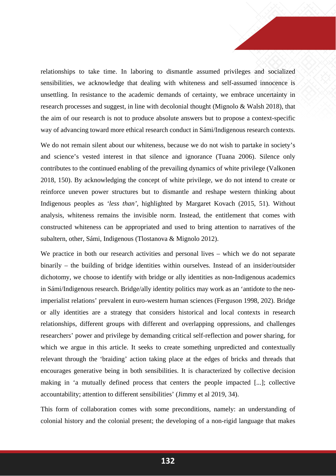relationships to take time. In laboring to dismantle assumed privileges and socialized sensibilities, we acknowledge that dealing with whiteness and self-assumed innocence is unsettling. In resistance to the academic demands of certainty, we embrace uncertainty in research processes and suggest, in line with decolonial thought (Mignolo & Walsh 2018), that the aim of our research is not to produce absolute answers but to propose a context-specific way of advancing toward more ethical research conduct in Sámi/Indigenous research contexts.

We do not remain silent about our whiteness, because we do not wish to partake in society's and science's vested interest in that silence and ignorance (Tuana 2006). Silence only contributes to the continued enabling of the prevailing dynamics of white privilege (Valkonen 2018, 150). By acknowledging the concept of white privilege, we do not intend to create or reinforce uneven power structures but to dismantle and reshape western thinking about Indigenous peoples as *'less than'*, highlighted by Margaret Kovach (2015, 51). Without analysis, whiteness remains the invisible norm. Instead, the entitlement that comes with constructed whiteness can be appropriated and used to bring attention to narratives of the subaltern, other, Sámi, Indigenous (Tlostanova & Mignolo 2012).

We practice in both our research activities and personal lives – which we do not separate binarily – the building of bridge identities within ourselves. Instead of an insider/outsider dichotomy, we choose to identify with bridge or ally identities as non-Indigenous academics in Sámi/Indigenous research. Bridge/ally identity politics may work as an 'antidote to the neoimperialist relations' prevalent in euro-western human sciences (Ferguson 1998, 202). Bridge or ally identities are a strategy that considers historical and local contexts in research relationships, different groups with different and overlapping oppressions, and challenges researchers' power and privilege by demanding critical self-reflection and power sharing, for which we argue in this article. It seeks to create something unpredicted and contextually relevant through the 'braiding' action taking place at the edges of bricks and threads that encourages generative being in both sensibilities. It is characterized by collective decision making in 'a mutually defined process that centers the people impacted [...]; collective accountability; attention to different sensibilities' (Jimmy et al 2019, 34).

This form of collaboration comes with some preconditions, namely: an understanding of colonial history and the colonial present; the developing of a non-rigid language that makes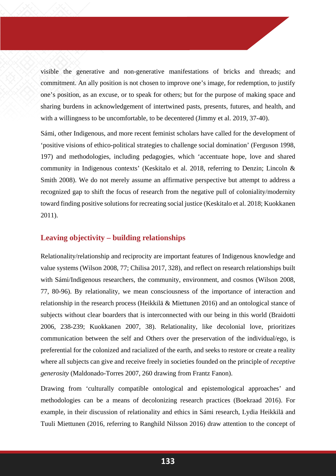visible the generative and non-generative manifestations of bricks and threads; and commitment. An ally position is not chosen to improve one's image, for redemption, to justify one's position, as an excuse, or to speak for others; but for the purpose of making space and sharing burdens in acknowledgement of intertwined pasts, presents, futures, and health, and with a willingness to be uncomfortable, to be decentered (Jimmy et al. 2019, 37-40).

Sámi, other Indigenous, and more recent feminist scholars have called for the development of 'positive visions of ethico-political strategies to challenge social domination' (Ferguson 1998, 197) and methodologies, including pedagogies, which 'accentuate hope, love and shared community in Indigenous contexts' (Keskitalo et al. 2018, referring to Denzin; Lincoln & Smith 2008). We do not merely assume an affirmative perspective but attempt to address a recognized gap to shift the focus of research from the negative pull of coloniality/modernity toward finding positive solutions for recreating social justice (Keskitalo et al. 2018; Kuokkanen 2011).

#### **Leaving objectivity – building relationships**

Relationality/relationship and reciprocity are important features of Indigenous knowledge and value systems (Wilson 2008, 77; Chilisa 2017, 328), and reflect on research relationships built with Sámi/Indigenous researchers, the community, environment, and cosmos (Wilson 2008, 77, 80-96). By relationality, we mean consciousness of the importance of interaction and relationship in the research process (Heikkilä & Miettunen 2016) and an ontological stance of subjects without clear boarders that is interconnected with our being in this world (Braidotti 2006, 238-239; Kuokkanen 2007, 38). Relationality, like decolonial love, prioritizes communication between the self and Others over the preservation of the individual/ego, is preferential for the colonized and racialized of the earth, and seeks to restore or create a reality where all subjects can give and receive freely in societies founded on the principle of *receptive generosity* (Maldonado-Torres 2007, 260 drawing from Frantz Fanon).

Drawing from 'culturally compatible ontological and epistemological approaches' and methodologies can be a means of decolonizing research practices (Boekraad 2016). For example, in their discussion of relationality and ethics in Sámi research, Lydia Heikkilä and Tuuli Miettunen (2016, referring to Ranghild Nilsson 2016) draw attention to the concept of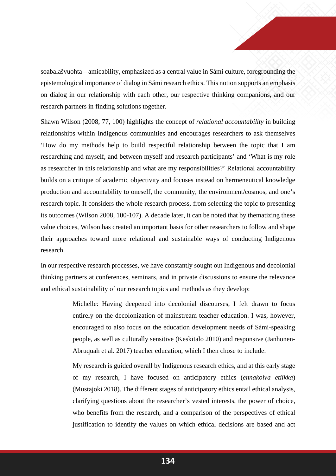soabalašvuohta – amicability, emphasized as a central value in Sámi culture, foregrounding the epistemological importance of dialog in Sámi research ethics. This notion supports an emphasis on dialog in our relationship with each other, our respective thinking companions, and our research partners in finding solutions together.

Shawn Wilson (2008, 77, 100) highlights the concept of *relational accountability* in building relationships within Indigenous communities and encourages researchers to ask themselves 'How do my methods help to build respectful relationship between the topic that I am researching and myself, and between myself and research participants' and 'What is my role as researcher in this relationship and what are my responsibilities?' Relational accountability builds on a critique of academic objectivity and focuses instead on hermeneutical knowledge production and accountability to oneself, the community, the environment/cosmos, and one's research topic. It considers the whole research process, from selecting the topic to presenting its outcomes (Wilson 2008, 100-107). A decade later, it can be noted that by thematizing these value choices, Wilson has created an important basis for other researchers to follow and shape their approaches toward more relational and sustainable ways of conducting Indigenous research.

In our respective research processes, we have constantly sought out Indigenous and decolonial thinking partners at conferences, seminars, and in private discussions to ensure the relevance and ethical sustainability of our research topics and methods as they develop:

> Michelle: Having deepened into decolonial discourses, I felt drawn to focus entirely on the decolonization of mainstream teacher education. I was, however, encouraged to also focus on the education development needs of Sámi-speaking people, as well as culturally sensitive (Keskitalo 2010) and responsive (Janhonen-Abruquah et al. 2017) teacher education, which I then chose to include.

> My research is guided overall by Indigenous research ethics, and at this early stage of my research, I have focused on anticipatory ethics (*ennakoiva etiikka*) (Mustajoki 2018). The different stages of anticipatory ethics entail ethical analysis, clarifying questions about the researcher's vested interests, the power of choice, who benefits from the research, and a comparison of the perspectives of ethical justification to identify the values on which ethical decisions are based and act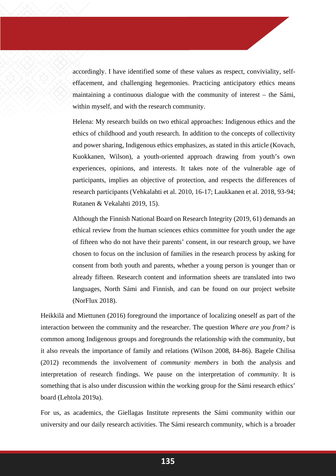accordingly. I have identified some of these values as respect, conviviality, selfeffacement, and challenging hegemonies. Practicing anticipatory ethics means maintaining a continuous dialogue with the community of interest – the Sámi, within myself, and with the research community.

Helena: My research builds on two ethical approaches: Indigenous ethics and the ethics of childhood and youth research. In addition to the concepts of collectivity and power sharing, Indigenous ethics emphasizes, as stated in this article (Kovach, Kuokkanen, Wilson), a youth-oriented approach drawing from youth's own experiences, opinions, and interests. It takes note of the vulnerable age of participants, implies an objective of protection, and respects the differences of research participants (Vehkalahti et al. 2010, 16-17; Laukkanen et al. 2018, 93-94; Rutanen & Vekalahti 2019, 15).

Although the Finnish National Board on Research Integrity (2019, 61) demands an ethical review from the human sciences ethics committee for youth under the age of fifteen who do not have their parents' consent, in our research group, we have chosen to focus on the inclusion of families in the research process by asking for consent from both youth and parents, whether a young person is younger than or already fifteen. Research content and information sheets are translated into two languages, North Sámi and Finnish, and can be found on our project website (NorFlux 2018).

Heikkilä and Miettunen (2016) foreground the importance of localizing oneself as part of the interaction between the community and the researcher. The question *Where are you from?* is common among Indigenous groups and foregrounds the relationship with the community, but it also reveals the importance of family and relations (Wilson 2008, 84-86). Bagele Chilisa (2012) recommends the involvement of *community members* in both the analysis and interpretation of research findings. We pause on the interpretation of *community*. It is something that is also under discussion within the working group for the Sámi research ethics' board (Lehtola 2019a).

For us, as academics, the Giellagas Institute represents the Sámi community within our university and our daily research activities. The Sámi research community, which is a broader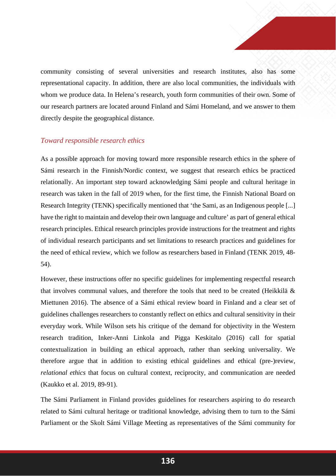community consisting of several universities and research institutes, also has some representational capacity. In addition, there are also local communities, the individuals with whom we produce data. In Helena's research, youth form communities of their own. Some of our research partners are located around Finland and Sámi Homeland, and we answer to them directly despite the geographical distance.

#### *Toward responsible research ethics*

As a possible approach for moving toward more responsible research ethics in the sphere of Sámi research in the Finnish/Nordic context, we suggest that research ethics be practiced relationally. An important step toward acknowledging Sámi people and cultural heritage in research was taken in the fall of 2019 when, for the first time, the Finnish National Board on Research Integrity (TENK) specifically mentioned that 'the Sami, as an Indigenous people [...] have the right to maintain and develop their own language and culture' as part of general ethical research principles. Ethical research principles provide instructions for the treatment and rights of individual research participants and set limitations to research practices and guidelines for the need of ethical review, which we follow as researchers based in Finland (TENK 2019, 48- 54).

However, these instructions offer no specific guidelines for implementing respectful research that involves communal values, and therefore the tools that need to be created (Heikkilä & Miettunen 2016). The absence of a Sámi ethical review board in Finland and a clear set of guidelines challenges researchers to constantly reflect on ethics and cultural sensitivity in their everyday work. While Wilson sets his critique of the demand for objectivity in the Western research tradition, Inker-Anni Linkola and Pigga Keskitalo (2016) call for spatial contextualization in building an ethical approach, rather than seeking universality. We therefore argue that in addition to existing ethical guidelines and ethical (pre-)review, *relational ethics* that focus on cultural context, reciprocity, and communication are needed (Kaukko et al. 2019, 89-91).

The Sámi Parliament in Finland provides guidelines for researchers aspiring to do research related to Sámi cultural heritage or traditional knowledge, advising them to turn to the Sámi Parliament or the Skolt Sámi Village Meeting as representatives of the Sámi community for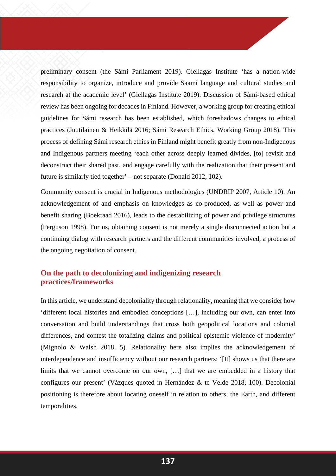preliminary consent (the Sámi Parliament 2019). Giellagas Institute 'has a nation-wide responsibility to organize, introduce and provide Saami language and cultural studies and research at the academic level' (Giellagas Institute 2019). Discussion of Sámi-based ethical review has been ongoing for decades in Finland. However, a working group for creating ethical guidelines for Sámi research has been established, which foreshadows changes to ethical practices (Juutilainen & Heikkilä 2016; Sámi Research Ethics, Working Group 2018). This process of defining Sámi research ethics in Finland might benefit greatly from non-Indigenous and Indigenous partners meeting 'each other across deeply learned divides, [to] revisit and deconstruct their shared past, and engage carefully with the realization that their present and future is similarly tied together' – not separate (Donald 2012, 102).

Community consent is crucial in Indigenous methodologies (UNDRIP 2007, Article 10). An acknowledgement of and emphasis on knowledges as co-produced, as well as power and benefit sharing (Boekraad 2016), leads to the destabilizing of power and privilege structures (Ferguson 1998). For us, obtaining consent is not merely a single disconnected action but a continuing dialog with research partners and the different communities involved, a process of the ongoing negotiation of consent.

## **On the path to decolonizing and indigenizing research practices/frameworks**

In this article, we understand decoloniality through relationality, meaning that we consider how 'different local histories and embodied conceptions […], including our own, can enter into conversation and build understandings that cross both geopolitical locations and colonial differences, and contest the totalizing claims and political epistemic violence of modernity' (Mignolo & Walsh 2018, 5). Relationality here also implies the acknowledgement of interdependence and insufficiency without our research partners: '[It] shows us that there are limits that we cannot overcome on our own, […] that we are embedded in a history that configures our present' (Vázques quoted in Hernández & te Velde 2018, 100). Decolonial positioning is therefore about locating oneself in relation to others, the Earth, and different temporalities.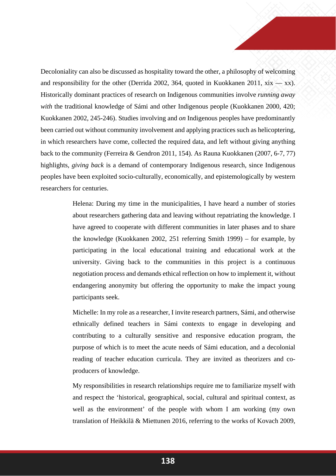Decoloniality can also be discussed as hospitality toward the other, a philosophy of welcoming and responsibility for the other (Derrida 2002, 364, quoted in Kuokkanen 2011,  $xix - xx$ ). Historically dominant practices of research on Indigenous communities involve *running away with* the traditional knowledge of Sámi and other Indigenous people (Kuokkanen 2000, 420; Kuokkanen 2002, 245-246). Studies involving and *on* Indigenous peoples have predominantly been carried out without community involvement and applying practices such as helicoptering, in which researchers have come, collected the required data, and left without giving anything back to the community (Ferreira & Gendron 2011, 154). As Rauna Kuokkanen (2007, 6-7, 77) highlights, *giving back* is a demand of contemporary Indigenous research, since Indigenous peoples have been exploited socio-culturally, economically, and epistemologically by western researchers for centuries.

> Helena: During my time in the municipalities, I have heard a number of stories about researchers gathering data and leaving without repatriating the knowledge. I have agreed to cooperate with different communities in later phases and to share the knowledge (Kuokkanen 2002, 251 referring Smith 1999) – for example, by participating in the local educational training and educational work at the university. Giving back to the communities in this project is a continuous negotiation process and demands ethical reflection on how to implement it, without endangering anonymity but offering the opportunity to make the impact young participants seek.

> Michelle: In my role as a researcher, I invite research partners, Sámi, and otherwise ethnically defined teachers in Sámi contexts to engage in developing and contributing to a culturally sensitive and responsive education program, the purpose of which is to meet the acute needs of Sámi education, and a decolonial reading of teacher education curricula. They are invited as theorizers and coproducers of knowledge.

> My responsibilities in research relationships require me to familiarize myself with and respect the 'historical, geographical, social, cultural and spiritual context, as well as the environment' of the people with whom I am working (my own translation of Heikkilä & Miettunen 2016, referring to the works of Kovach 2009,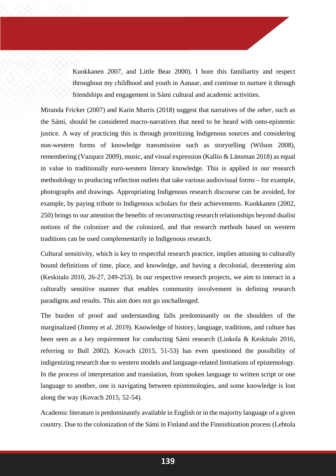Kuokkanen 2007, and Little Bear 2000). I bore this familiarity and respect throughout my childhood and youth in Aanaar, and continue to nurture it through friendships and engagement in Sámi cultural and academic activities.

Miranda Fricker (2007) and Karin Murris (2018) suggest that narratives of the *other*, such as the Sámi, should be considered macro-narratives that need to be heard with onto-epistemic justice. A way of practicing this is through prioritizing Indigenous sources and considering non-western forms of knowledge transmission such as storytelling (Wilson 2008), remembering (Vazquez 2009), music, and visual expression (Kallio & Länsman 2018) as equal in value to traditionally euro-western literary knowledge. This is applied in our research methodology to producing reflection outlets that take various audiovisual forms – for example, photographs and drawings. Appropriating Indigenous research discourse can be avoided, for example, by paying tribute to Indigenous scholars for their achievements. Kuokkanen (2002, 250) brings to our attention the benefits of reconstructing research relationships beyond dualist notions of the colonizer and the colonized, and that research methods based on western traditions can be used complementarily in Indigenous research.

Cultural sensitivity, which is key to respectful research practice, implies attuning to culturally bound definitions of time, place, and knowledge, and having a decolonial, decentering aim (Keskitalo 2010, 26-27, 249-253). In our respective research projects, we aim to interact in a culturally sensitive manner that enables community involvement in defining research paradigms and results. This aim does not go unchallenged.

The burden of proof and understanding falls predominantly on the shoulders of the marginalized (Jimmy et al. 2019). Knowledge of history, language, traditions, and culture has been seen as a key requirement for conducting Sámi research (Linkola & Keskitalo 2016, referring to Bull 2002). Kovach (2015, 51-53) has even questioned the possibility of indigenizing research due to western models and language-related limitations of epistemology. In the process of interpretation and translation, from spoken language to written script or one language to another, one is navigating between epistemologies, and some knowledge is lost along the way (Kovach 2015, 52-54).

Academic literature is predominantly available in English or in the majority language of a given country. Due to the colonization of the Sámi in Finland and the Finnishization process (Lehtola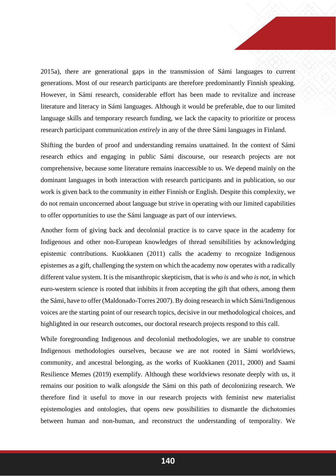2015a), there are generational gaps in the transmission of Sámi languages to current generations. Most of our research participants are therefore predominantly Finnish speaking. However, in Sámi research, considerable effort has been made to revitalize and increase literature and literacy in Sámi languages. Although it would be preferable, due to our limited language skills and temporary research funding, we lack the capacity to prioritize or process research participant communication *entirely* in any of the three Sámi languages in Finland.

Shifting the burden of proof and understanding remains unattained. In the context of Sámi research ethics and engaging in public Sámi discourse, our research projects are not comprehensive, because some literature remains inaccessible to us. We depend mainly on the dominant languages in both interaction with research participants and in publication, so our work is given back to the community in either Finnish or English. Despite this complexity, we do not remain unconcerned about language but strive in operating with our limited capabilities to offer opportunities to use the Sámi language as part of our interviews.

Another form of giving back and decolonial practice is to carve space in the academy for Indigenous and other non-European knowledges of thread sensibilities by acknowledging epistemic contributions. Kuokkanen (2011) calls the academy to recognize Indigenous epistemes as a gift, challenging the system on which the academy now operates with a radically different value system. It is the misanthropic skepticism, that is *who is* and *who is not*, in which euro-western science is rooted that inhibits it from accepting the gift that others, among them the Sámi, have to offer (Maldonado-Torres 2007). By doing research in which Sámi/Indigenous voices are the starting point of our research topics, decisive in our methodological choices, and highlighted in our research outcomes, our doctoral research projects respond to this call.

While foregrounding Indigenous and decolonial methodologies, we are unable to construe Indigenous methodologies ourselves, because we are not rooted in Sámi worldviews, community, and ancestral belonging, as the works of Kuokkanen (2011, 2000) and Saami Resilience Memes (2019) exemplify. Although these worldviews resonate deeply with us, it remains our position to walk *alongside* the Sámi on this path of decolonizing research. We therefore find it useful to move in our research projects with feminist new materialist epistemologies and ontologies, that opens new possibilities to dismantle the dichotomies between human and non-human, and reconstruct the understanding of temporality. We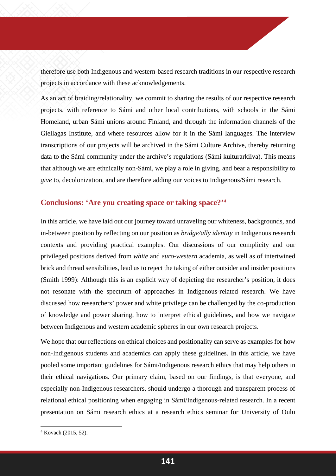therefore use both Indigenous and western-based research traditions in our respective research projects in accordance with these acknowledgements.

As an act of braiding/relationality, we commit to sharing the results of our respective research projects, with reference to Sámi and other local contributions, with schools in the Sámi Homeland, urban Sámi unions around Finland, and through the information channels of the Giellagas Institute, and where resources allow for it in the Sámi languages. The interview transcriptions of our projects will be archived in the Sámi Culture Archive, thereby returning data to the Sámi community under the archive's regulations (Sámi kulturarkiiva). This means that although we are ethnically non-Sámi, we play a role in giving, and bear a responsibility to *give* to, decolonization, and are therefore adding our voices to Indigenous/Sámi research.

## **Conclusions: 'Are you creating space or taking space?'***[4](#page-17-0)*

In this article, we have laid out our journey toward unraveling our whiteness, backgrounds, and in-between position by reflecting on our position as *bridge/ally identity* in Indigenous research contexts and providing practical examples. Our discussions of our complicity and our privileged positions derived from *white* and *euro-western* academia, as well as of intertwined brick and thread sensibilities, lead us to reject the taking of either outsider and insider positions (Smith 1999): Although this is an explicit way of depicting the researcher's position, it does not resonate with the spectrum of approaches in Indigenous-related research. We have discussed how researchers' power and white privilege can be challenged by the co-production of knowledge and power sharing, how to interpret ethical guidelines, and how we navigate between Indigenous and western academic spheres in our own research projects.

We hope that our reflections on ethical choices and positionality can serve as examples for how non-Indigenous students and academics can apply these guidelines. In this article, we have pooled some important guidelines for Sámi/Indigenous research ethics that may help others in their ethical navigations. Our primary claim, based on our findings, is that everyone, and especially non-Indigenous researchers, should undergo a thorough and transparent process of relational ethical positioning when engaging in Sámi/Indigenous-related research. In a recent presentation on Sámi research ethics at a research ethics seminar for University of Oulu

 $\overline{a}$ 

<span id="page-17-0"></span><sup>4</sup> Kovach (2015, 52).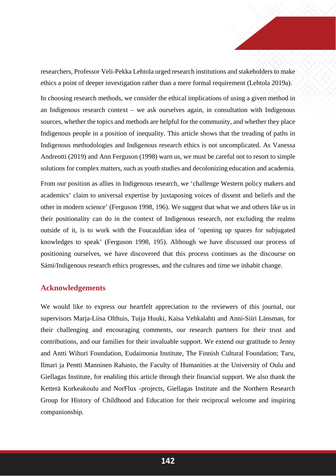researchers, Professor Veli-Pekka Lehtola urged research institutions and stakeholders to make ethics a point of deeper investigation rather than a mere formal requirement (Lehtola 2019a).

In choosing research methods, we consider the ethical implications of using a given method in an Indigenous research context – we ask ourselves again, in consultation with Indigenous sources, whether the topics and methods are helpful for the community, and whether they place Indigenous people in a position of inequality. This article shows that the treading of paths in Indigenous methodologies and Indigenous research ethics is not uncomplicated. As Vanessa Andreotti (2019) and Ann Ferguson (1998) warn us, we must be careful not to resort to simple solutions for complex matters, such as youth studies and decolonizing education and academia.

From our position as allies in Indigenous research, we 'challenge Western policy makers and academics' claim to universal expertise by juxtaposing voices of dissent and beliefs and the other in modern science' (Ferguson 1998, 196). We suggest that what we and others like us in their positionality can do in the context of Indigenous research, not excluding the realms outside of it, is to work with the Foucauldian idea of 'opening up spaces for subjugated knowledges to speak' (Ferguson 1998, 195). Although we have discussed our process of positioning ourselves, we have discovered that this process continues as the discourse on Sámi/Indigenous research ethics progresses, and the cultures and time we inhabit change.

## **Acknowledgements**

We would like to express our heartfelt appreciation to the reviewers of this journal, our supervisors Marja-Liisa Olthuis, Tuija Huuki, Kaisa Vehkalahti and Anni-Siiri Länsman, for their challenging and encouraging comments, our research partners for their trust and contributions, and our families for their invaluable support. We extend our gratitude to Jenny and Antti Wihuri Foundation, Eudaimonia Institute, The Finnish Cultural Foundation; Taru, Ilmari ja Pentti Manninen Rahasto, the Faculty of Humanities at the University of Oulu and Giellagas Institute, for enabling this article through their financial support. We also thank the Ketterä Korkeakoulu and NorFlux -projects, Giellagas Institute and the Northern Research Group for History of Childhood and Education for their reciprocal welcome and inspiring companionship.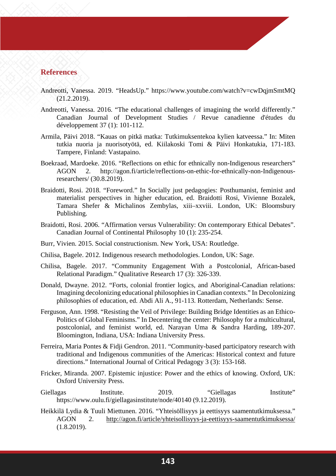## **References**

- Andreotti, Vanessa. 2019. "HeadsUp." https://www.youtube.com/watch?v=cwDqjmSmtMQ (21.2.2019).
- Andreotti, Vanessa. 2016. "The educational challenges of imagining the world differently." Canadian Journal of Development Studies / Revue canadienne d'études du développement 37 (1): 101-112.
- Armila, Päivi 2018. "Kauas on pitkä matka: Tutkimuksentekoa kylien katveessa." In: Miten tutkia nuoria ja nuorisotyötä, ed. Kiilakoski Tomi & Päivi Honkatukia, 171-183. Tampere, Finland: Vastapaino.
- Boekraad, Mardoeke. 2016. "Reflections on ethic for ethnically non-Indigenous researchers" AGON 2. http://agon.fi/article/reflections-on-ethic-for-ethnically-non-Indigenousresearchers/ (30.8.2019).
- Braidotti, Rosi. 2018. "Foreword." In Socially just pedagogies: Posthumanist, feminist and materialist perspectives in higher education, ed. Braidotti Rosi, Vivienne Bozalek, Tamara Shefer & Michalinos Zembylas, xiii–xxviii. London, UK: Bloomsbury Publishing.
- Braidotti, Rosi. 2006. "Affirmation versus Vulnerability: On contemporary Ethical Debates". Canadian Journal of Continental Philosophy 10 (1): 235-254.
- Burr, Vivien. 2015. Social constructionism. New York, USA: Routledge.
- Chilisa, Bagele. 2012. Indigenous research methodologies. London, UK: Sage.
- Chilisa, Bagele. 2017. "Community Engagement With a Postcolonial, African-based Relational Paradigm." Qualitative Research 17 (3): 326-339.
- Donald, Dwayne. 2012. "Forts, colonial frontier logics, and Aboriginal-Canadian relations: Imagining decolonizing educational philosophies in Canadian contexts." In Decolonizing philosophies of education, ed. Abdi Ali A., 91-113. Rotterdam, Netherlands: Sense.
- Ferguson, Ann. 1998. "Resisting the Veil of Privilege: Building Bridge Identities as an Ethico-Politics of Global Feminisms." In Decentering the center: Philosophy for a multicultural, postcolonial, and feminist world, ed. Narayan Uma & Sandra Harding, 189-207. Bloomington, Indiana, USA: Indiana University Press.
- Ferreira, Maria Pontes & Fidji Gendron. 2011. "Community-based participatory research with traditional and Indigenous communities of the Americas: Historical context and future directions." International Journal of Critical Pedagogy 3 (3): 153-168.
- Fricker, Miranda. 2007. Epistemic injustice: Power and the ethics of knowing. Oxford, UK: Oxford University Press.
- Giellagas Institute. 2019. "Giellagas Institute" https://www.oulu.fi/giellagasinstitute/node/40140 (9.12.2019).
- Heikkilä Lydia & Tuuli Miettunen. 2016. "Yhteisöllisyys ja eettisyys saamentutkimuksessa." AGON 2. <http://agon.fi/article/yhteisollisyys-ja-eettisyys-saamentutkimuksessa/> (1.8.2019).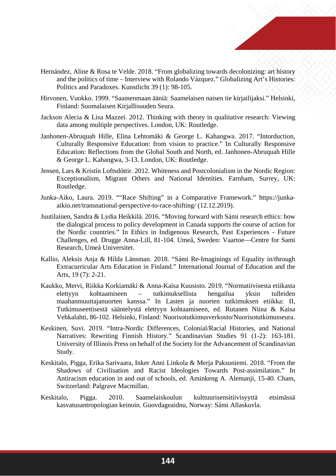

- Hernández, Aline & Rosa te Velde. 2018. "From globalizing towards decolonizing: art history and the politics of time – Interview with Rolando Vázquez." Globalizing Art's Histories: Politics and Paradoxes. Kunstlicht 39 (1): 98-105.
- Hirvonen, Vuokko. 1999. "Saamenmaan ääniä: Saamelaisen naisen tie kirjailijaksi." Helsinki, Finland: Suomalaisen Kirjallisuuden Seura.
- Jackson Alecia & Lisa Mazzei. 2012. Thinking with theory in qualitative research: Viewing data among multiple perspectives. London, UK: Routledge.
- Janhonen-Abruquah Hille, Elina Lehtomäki & George L. Kahangwa. 2017. "Intorduction, Culturally Responsive Education: from vision to practice." In Culturally Responsive Education: Reflections from the Global South and North, ed. Janhonen-Abruquah Hille & George L. Kahangwa, 3-13. London, UK: Routledge.
- Jensen, Lars & Kristín Loftsdóttir. 2012. Whiteness and Postcolonialism in the Nordic Region: Exceptionalism, Migrant Others and National Identities. Farnham, Surrey, UK: Routledge.
- Junka-Aiko, Laura. 2019. ""Race Shifting" in a Comparative Framework." https://junkaaikio.net/transnational-perspective-to-race-shifting/ (12.12.2019).
- Juutilainen, Sandra & Lydia Heikkilä. 2016. "Moving forward with Sámi research ethics: how the dialogical process to policy development in Canada supports the course of action for the Nordic countries." In Ethics in Indigenous Research, Past Experiences - Future Challenges, ed. Drugge Anna-Lill, 81-104. Umeå, Sweden: Vaartoe—Centre for Sami Research, Umeå Universitet.
- Kallio, Aleksis Anja & Hilda Länsman. 2018. "Sámi Re-Imaginings of Equality in/through Extracurricular Arts Education in Finland." International Journal of Education and the Arts, 19 (7): 2-21.
- Kaukko, Mervi, Riikka Korkiamäki & Anna-Kaisa Kuusisto. 2019. "Normatiivisesta etiikasta elettyyn kohtaamiseen – tutkimuksellista hengailua yksin tulleiden maahanmuuttajanuorten kanssa." In Lasten ja nuorten tutkimuksen etiikka: II, Tutkimuseettisestä sääntelystä elettyyn kohtaamiseen, ed. Rutanen Niina & Kaisa Vehkalahti, 86-102. Helsinki, Finland: Nuorisotutkimusverkosto/Nuorisotutkimusseura.
- Keskinen, Suvi. 2019. "Intra-Nordic Differences, Colonial/Racial Histories, and National Narratives: Rewriting Finnish History." Scandinavian Studies 91 (1-2): 163-181. University of Illinois Press on behalf of the Society for the Advancement of Scandinavian Study.
- Keskitalo, Pigga, Erika Sarivaara, Inker Anni Linkola & Merja Paksuniemi. 2018. "From the Shadows of Civilisation and Racist Ideologies Towards Post-assimilation." In Antiracism education in and out of schools, ed. Aminkeng A. Alemanji, 15-40. Cham, Switzerland: Palgrave Macmillan.
- Keskitalo, Pigga. 2010. Saamelaiskoulun kulttuurisensitiivisyyttä etsimässä kasvatusantropologian keinoin. Guovdageaidnu, Norway: Sámi Allaskuvla.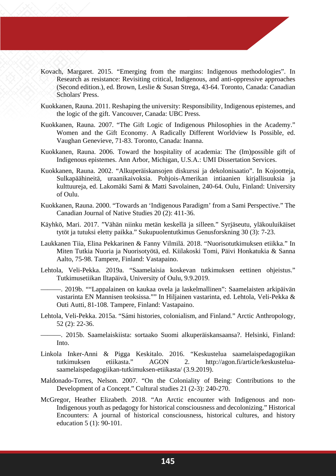- Kovach, Margaret. 2015. "Emerging from the margins: Indigenous methodologies". In Research as resistance: Revisiting critical, Indigenous, and anti-oppressive approaches (Second edition.), ed. Brown, Leslie & Susan Strega, 43-64. Toronto, Canada: Canadian Scholars' Press.
- Kuokkanen, Rauna. 2011. Reshaping the university: Responsibility, Indigenous epistemes, and the logic of the gift. Vancouver, Canada: UBC Press.
- Kuokkanen, Rauna. 2007. "The Gift Logic of Indigenous Philosophies in the Academy." Women and the Gift Economy. A Radically Different Worldview Is Possible, ed. Vaughan Genevieve, 71-83. Toronto, Canada: Inanna.
- Kuokkanen, Rauna. 2006. Toward the hospitality of academia: The (Im)possible gift of Indigenous epistemes. Ann Arbor, Michigan, U.S.A.: UMI Dissertation Services.
- Kuokkanen, Rauna. 2002. "Alkuperäiskansojen diskurssi ja dekolonisaatio". In Kojootteja, Sulkapäähineitä, uraanikaivoksia. Pohjois-Amerikan intiaanien kirjallisuuksia ja kulttuureja, ed. Lakomäki Sami & Matti Savolainen, 240-64. Oulu, Finland: University of Oulu.
- Kuokkanen, Rauna. 2000. "Towards an 'Indigenous Paradigm' from a Sami Perspective." The Canadian Journal of Native Studies 20 (2): 411-36.
- Käyhkö, Mari. 2017. "Vähän niinku metän keskellä ja silleen." Syrjäseutu, yläkouluikäiset tytöt ja tutuksi eletty paikka." Sukupuolentutkimus Genusforskning 30 (3): 7-23.
- Laukkanen Tiia, Elina Pekkarinen & Fanny Vilmilä. 2018. "Nuorisotutkimuksen etiikka." In Miten Tutkia Nuoria ja Nuorisotyötä, ed. Kiilakoski Tomi, Päivi Honkatukia & Sanna Aalto, 75-98. Tampere, Finland: Vastapaino.
- Lehtola, Veli-Pekka. 2019a. "Saamelaisia koskevan tutkimuksen eettinen ohjeistus." Tutkimusetiikan Iltapäivä, University of Oulu, 9.9.2019.
- ———. 2019b. ""Lappalainen on kaukaa ovela ja laskelmallinen": Saamelaisten arkipäivän vastarinta EN Mannisen teoksissa."" In Hiljainen vastarinta, ed. Lehtola, Veli-Pekka & Outi Autti, 81-108. Tampere, Finland: Vastapaino.
- Lehtola, Veli-Pekka. 2015a. "Sámi histories, colonialism, and Finland." Arctic Anthropology, 52 (2): 22-36.
	- ———. 2015b. Saamelaiskiista: sortaako Suomi alkuperäiskansaansa?. Helsinki, Finland: Into.
- Linkola Inker-Anni & Pigga Keskitalo. 2016. "Keskustelua saamelaispedagogiikan tutkimuksen etiikasta." AGON 2. http://agon.fi/article/keskusteluasaamelaispedagogiikan-tutkimuksen-etiikasta/ (3.9.2019).
- Maldonado-Torres, Nelson. 2007. "On the Coloniality of Being: Contributions to the Development of a Concept." Cultural studies 21 (2-3): 240-270.
- McGregor, Heather Elizabeth. 2018. "An Arctic encounter with Indigenous and non-Indigenous youth as pedagogy for historical consciousness and decolonizing." Historical Encounters: A journal of historical consciousness, historical cultures, and history education 5 (1): 90-101.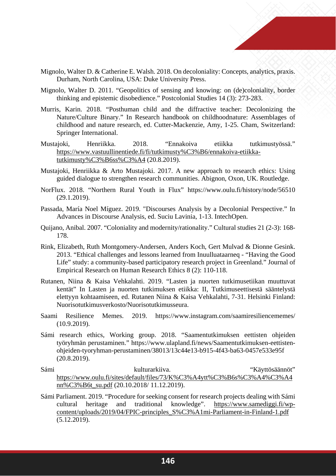

- Mignolo, Walter D. & Catherine E. Walsh. 2018. On decoloniality: Concepts, analytics, praxis. Durham, North Carolina, USA: Duke University Press.
- Mignolo, Walter D. 2011. "Geopolitics of sensing and knowing: on (de)coloniality, border thinking and epistemic disobedience." Postcolonial Studies 14 (3): 273-283.
- Murris, Karin. 2018. "Posthuman child and the diffractive teacher: Decolonizing the Nature/Culture Binary." In Research handbook on childhoodnature: Assemblages of childhood and nature research, ed. Cutter-Mackenzie, Amy, 1-25. Cham, Switzerland: Springer International.
- Mustajoki, Henriikka. 2018. "Ennakoiva etiikka tutkimustyössä." [https://www.vastuullinentiede.fi/fi/tutkimusty%C3%B6/ennakoiva-etiikka](https://www.vastuullinentiede.fi/fi/tutkimusty%C3%B6/ennakoiva-etiikka-tutkimusty%C3%B6ss%C3%A4)[tutkimusty%C3%B6ss%C3%A4](https://www.vastuullinentiede.fi/fi/tutkimusty%C3%B6/ennakoiva-etiikka-tutkimusty%C3%B6ss%C3%A4) (20.8.2019).
- Mustajoki, Henriikka & Arto Mustajoki. 2017. A new approach to research ethics: Using guided dialogue to strengthen research communities. Abignon, Oxon, UK. Routledge.
- NorFlux. 2018. "Northern Rural Youth in Flux" https://www.oulu.fi/history/node/56510 (29.1.2019).
- Passada, María Noel Míguez. 2019. "Discourses Analysis by a Decolonial Perspective." In Advances in Discourse Analysis, ed. Suciu Lavinia, 1-13. IntechOpen.
- Quijano, Anibal. 2007. "Coloniality and modernity/rationality." Cultural studies 21 (2-3): 168- 178.
- Rink, Elizabeth, Ruth Montgomery-Andersen, Anders Koch, Gert Mulvad & Dionne Gesink. 2013. "Ethical challenges and lessons learned from Inuulluataarneq - "Having the Good Life" study: a community-based participatory research project in Greenland." Journal of Empirical Research on Human Research Ethics 8 (2): 110-118.
- Rutanen, Niina & Kaisa Vehkalahti. 2019. "Lasten ja nuorten tutkimusetiikan muuttuvat kentät" In Lasten ja nuorten tutkimuksen etiikka: II, Tutkimuseettisestä sääntelystä elettyyn kohtaamiseen, ed. Rutanen Niina & Kaisa Vehkalahti, 7-31. Helsinki Finland: Nuorisotutkimusverkosto/Nuorisotutkimusseura.
- Saami Resilience Memes. 2019. https://www.instagram.com/saamiresiliencememes/ (10.9.2019).
- Sámi research ethics, Working group. 2018. "Saamentutkimuksen eettisten ohjeiden työryhmän perustaminen." https://www.ulapland.fi/news/Saamentutkimuksen-eettistenohjeiden-tyoryhman-perustaminen/38013/13c44e13-b915-4f43-ba63-0457e533e95f (20.8.2019).
- Sámi kulturarkiiva. "Käyttösäännöt" [https://www.oulu.fi/sites/default/files/73/K%C3%A4ytt%C3%B6s%C3%A4%C3%A4](https://www.oulu.fi/sites/default/files/73/K%C3%A4ytt%C3%B6s%C3%A4%C3%A4nn%C3%B6t_su.pdf) [nn%C3%B6t\\_su.pdf](https://www.oulu.fi/sites/default/files/73/K%C3%A4ytt%C3%B6s%C3%A4%C3%A4nn%C3%B6t_su.pdf) (20.10.2018/ 11.12.2019).
- Sámi Parliament. 2019. "Procedure for seeking consent for research projects dealing with Sámi cultural heritage and traditional knowledge". [https://www.samediggi.fi/wp](https://www.samediggi.fi/wp-content/uploads/2019/04/FPIC-principles_S%C3%A1mi-Parliament-in-Finland-1.pdf)[content/uploads/2019/04/FPIC-principles\\_S%C3%A1mi-Parliament-in-Finland-1.pdf](https://www.samediggi.fi/wp-content/uploads/2019/04/FPIC-principles_S%C3%A1mi-Parliament-in-Finland-1.pdf) (5.12.2019).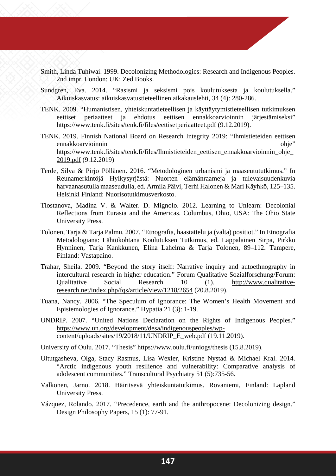- Smith, Linda Tuhiwai. 1999. Decolonizing Methodologies: Research and Indigenous Peoples. 2nd impr. London: UK: Zed Books.
- Sundgren, Eva. 2014. "Rasismi ja seksismi pois koulutuksesta ja koulutuksella." Aikuiskasvatus: aikuiskasvatustieteellinen aikakauslehti, 34 (4): 280-286.
- TENK. 2009. "Humanistisen, yhteiskuntatieteellisen ja käyttäytymistieteellisen tutkimuksen eettiset periaatteet ja ehdotus eettisen ennakkoarvioinnin järjestämiseksi" <https://www.tenk.fi/sites/tenk.fi/files/eettisetperiaatteet.pdf> (9.12.2019).
- TENK. 2019. Finnish National Board on Research Integrity 2019: "Ihmistieteiden eettisen ennakkoarvioinnin ohje" ohje https://www.tenk.fi/sites/tenk.fi/files/Ihmistieteiden\_eettisen\_ennakkoarvioinnin\_ohje [2019.pdf](https://www.tenk.fi/sites/tenk.fi/files/Ihmistieteiden_eettisen_ennakkoarvioinnin_ohje_2019.pdf) (9.12.2019)
- Terde, Silva & Pirjo Pöllänen. 2016. "Metodologinen urbanismi ja maaseutututkimus." In Reunamerkintöjä Hylkysyrjästä: Nuorten elämänraameja ja tulevaisuudenkuvia harvaanasutulla maaseudulla, ed. Armila Päivi, Terhi Halonen & Mari Käyhkö, 125–135. Helsinki Finland: Nuorisotutkimusverkosto.
- Tlostanova, Madina V. & Walter. D. Mignolo. 2012. Learning to Unlearn: Decolonial Reflections from Eurasia and the Americas. Columbus, Ohio, USA: The Ohio State University Press.
- Tolonen, Tarja & Tarja Palmu. 2007. "Etnografia, haastattelu ja (valta) positiot." In Etnografia Metodologiana: Lähtökohtana Koulutuksen Tutkimus, ed. Lappalainen Sirpa, Pirkko Hynninen, Tarja Kankkunen, Elina Lahelma & Tarja Tolonen, 89–112. Tampere, Finland: Vastapaino.
- Trahar, Sheila. 2009. "Beyond the story itself: Narrative inquiry and autoethnography in intercultural research in higher education." Forum Qualitative Sozialforschung/Forum: Qualitative Social Research 10 (1). [http://www.qualitative](http://www.qualitative-research.net/index.php/fqs/article/view/1218/2654)[research.net/index.php/fqs/article/view/1218/2654](http://www.qualitative-research.net/index.php/fqs/article/view/1218/2654) (20.8.2019).
- Tuana, Nancy. 2006. "The Speculum of Ignorance: The Women's Health Movement and Epistemologies of Ignorance." Hypatia 21 (3): 1-19.
- UNDRIP. 2007. "United Nations Declaration on the Rights of Indigenous Peoples." [https://www.un.org/development/desa/indigenouspeoples/wp](https://www.un.org/development/desa/indigenouspeoples/wp-content/uploads/sites/19/2018/11/UNDRIP_E_web.pdf)[content/uploads/sites/19/2018/11/UNDRIP\\_E\\_web.pdf](https://www.un.org/development/desa/indigenouspeoples/wp-content/uploads/sites/19/2018/11/UNDRIP_E_web.pdf) (19.11.2019).
- University of Oulu. 2017. "Thesis" https://www.oulu.fi/uniogs/thesis (15.8.2019).
- Ultutgasheva, Olga, Stacy Rasmus, Lisa Wexler, Kristine Nystad & Michael Kral. 2014. "Arctic indigenous youth resilience and vulnerability: Comparative analysis of adolescent communities." Transcultural Psychiatry 51 (5):735-56.
- Valkonen, Jarno. 2018. Häiritsevä yhteiskuntatutkimus. Rovaniemi, Finland: Lapland University Press.
- Vázquez, Rolando. 2017. "Precedence, earth and the anthropocene: Decolonizing design." Design Philosophy Papers, 15 (1): 77-91.